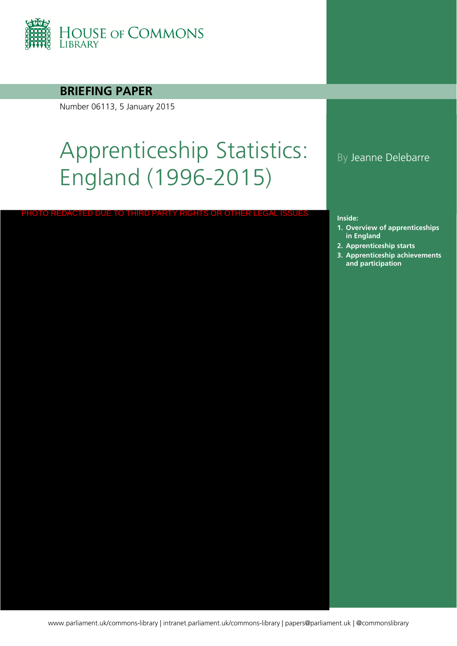

## **BRIEFING PAPER**

Number 06113, 5 January 2015

# Apprenticeship Statistics: England (1996-2015)

PHOTO REDACTED DUE TO THIRD PARTY RIGHTS OR OTHER LEGAL ISSUES

## By Jeanne Delebarre

#### **Inside:**

- **1. Overview of apprenticeships in England**
- **2. [Apprenticeship starts](#page-5-0)**
- **3. Apprenticeship achievements and participation**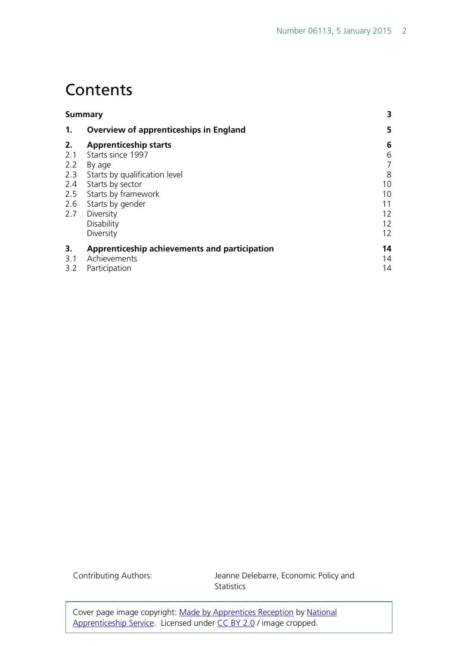## **Contents**

| Summary                                       | 3                 |
|-----------------------------------------------|-------------------|
| <b>Overview of apprenticeships in England</b> | 5                 |
| <b>Apprenticeship starts</b>                  | 6                 |
| Starts since 1997                             | 6                 |
| By age                                        | $\overline{7}$    |
| Starts by qualification level                 | 8                 |
| Starts by sector                              | 10                |
| Starts by framework                           | 10                |
| Starts by gender                              | 11                |
| Diversity                                     | 12                |
| Disability                                    | 12                |
| Diversity                                     | $12 \overline{ }$ |
| Apprenticeship achievements and participation | 14                |
| Achievements                                  | 14                |
| Participation                                 | 14                |
|                                               |                   |

Contributing Authors: Jeanne Delebarre, Economic Policy and **Statistics** 

Cover page image copyright: [Made by Apprentices Reception](https://www.flickr.com/photos/apprenticeships/8555940298/in/photolist-e34qY3-e34q5f-e34pHL-e34pSA-e34pbC-e34oZE-e2XHjB-e34JMb-e2YpRF-e2Yq4D-e2Yqgi-e2YoLt-e3555y-e356k1-qhb3Mr-e2Y46c-e34r9S-e2Y4k6-e2XUTF-e2Y3tZ-e2Y2SP-e34AHQ-e2Y3cz-bqSZrr-nk1XYt-nDhzSF-nBvprD-nk1PFN-nk1YHV-nBh5dm-nk1Pty-nk1QkJ-nzsFth-nzsHmq-nDhAik-nk1MKL-nzsFNL-nk1Nrf-nk1NQG-nDhAQT-nk1Xc8-nBh5qf-nzsGC1-nBvi4C-nk1P2S-nBvquR-nBvhCs-nDhAtF-nk1GiT-nBvivQ) by [National](https://www.flickr.com/photos/apprenticeships/)  [Apprenticeship Service.](https://www.flickr.com/photos/apprenticeships/) Licensed under [CC BY 2.0](https://creativecommons.org/licenses/by-nc-sa/2.0/) / image cropped.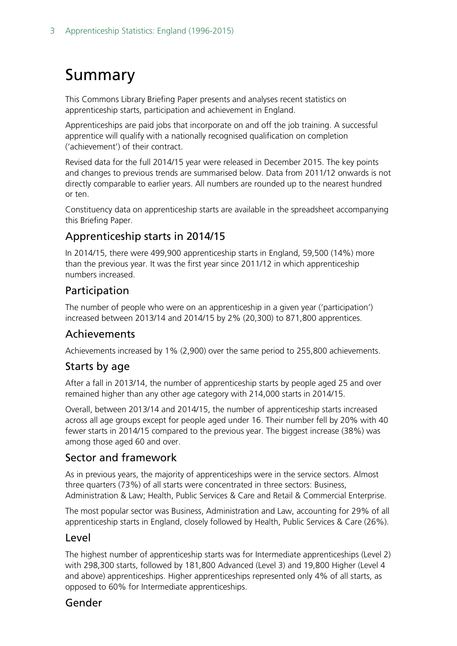## <span id="page-2-0"></span>Summary

This Commons Library Briefing Paper presents and analyses recent statistics on apprenticeship starts, participation and achievement in England.

Apprenticeships are paid jobs that incorporate on and off the job training. A successful apprentice will qualify with a nationally recognised qualification on completion ('achievement') of their contract.

Revised data for the full 2014/15 year were released in December 2015. The key points and changes to previous trends are summarised below. Data from 2011/12 onwards is not directly comparable to earlier years. All numbers are rounded up to the nearest hundred or ten.

Constituency data on apprenticeship starts are available in the spreadsheet accompanying this Briefing Paper.

## Apprenticeship starts in 2014/15

In 2014/15, there were 499,900 apprenticeship starts in England, 59,500 (14%) more than the previous year. It was the first year since 2011/12 in which apprenticeship numbers increased.

## Participation

The number of people who were on an apprenticeship in a given year ('participation') increased between 2013/14 and 2014/15 by 2% (20,300) to 871,800 apprentices.

### Achievements

Achievements increased by 1% (2,900) over the same period to 255,800 achievements.

## Starts by age

After a fall in 2013/14, the number of apprenticeship starts by people aged 25 and over remained higher than any other age category with 214,000 starts in 2014/15.

Overall, between 2013/14 and 2014/15, the number of apprenticeship starts increased across all age groups except for people aged under 16. Their number fell by 20% with 40 fewer starts in 2014/15 compared to the previous year. The biggest increase (38%) was among those aged 60 and over.

### Sector and framework

As in previous years, the majority of apprenticeships were in the service sectors. Almost three quarters (73%) of all starts were concentrated in three sectors: Business, Administration & Law; Health, Public Services & Care and Retail & Commercial Enterprise.

The most popular sector was Business, Administration and Law, accounting for 29% of all apprenticeship starts in England, closely followed by Health, Public Services & Care (26%).

### Level

The highest number of apprenticeship starts was for Intermediate apprenticeships (Level 2) with 298,300 starts, followed by 181,800 Advanced (Level 3) and 19,800 Higher (Level 4 and above) apprenticeships. Higher apprenticeships represented only 4% of all starts, as opposed to 60% for Intermediate apprenticeships.

### Gender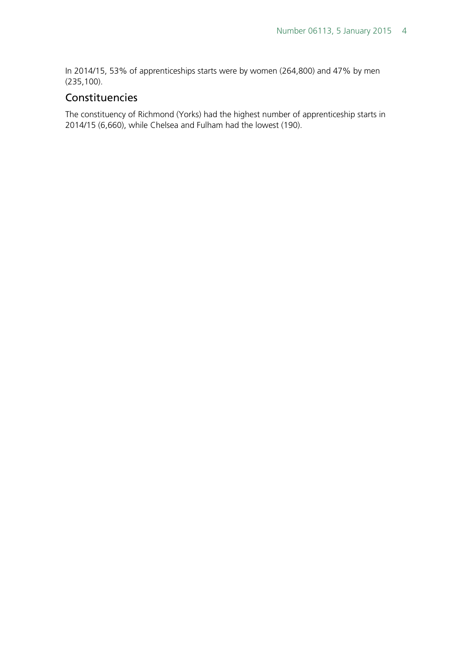In 2014/15, 53% of apprenticeships starts were by women (264,800) and 47% by men (235,100).

## Constituencies

The constituency of Richmond (Yorks) had the highest number of apprenticeship starts in 2014/15 (6,660), while Chelsea and Fulham had the lowest (190).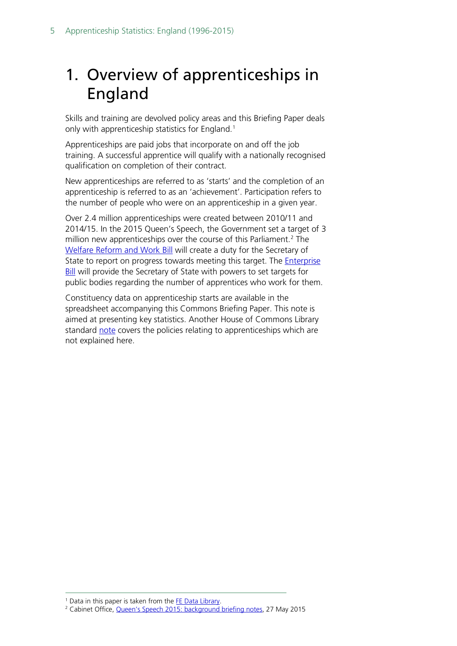## <span id="page-4-0"></span>1. Overview of apprenticeships in England

Skills and training are devolved policy areas and this Briefing Paper deals only with apprenticeship statistics for England.<sup>[1](#page-4-1)</sup>

Apprenticeships are paid jobs that incorporate on and off the job training. A successful apprentice will qualify with a nationally recognised qualification on completion of their contract.

New apprenticeships are referred to as 'starts' and the completion of an apprenticeship is referred to as an 'achievement'. Participation refers to the number of people who were on an apprenticeship in a given year.

Over 2.4 million apprenticeships were created between 2010/11 and 2014/15. In the 2015 Queen's Speech, the Government set a target of 3 million new apprenticeships over the course of this Parliament.<sup>[2](#page-4-2)</sup> The [Welfare Reform and Work](http://services.parliament.uk/bills/2015-16/welfarereformandwork/documents.html) Bill will create a duty for the Secretary of State to report on progress towards meeting this target. The **Enterprise** [Bill](http://services.parliament.uk/bills/2015-16/enterprise.html) will provide the Secretary of State with powers to set targets for public bodies regarding the number of apprentices who work for them.

Constituency data on apprenticeship starts are available in the spreadsheet accompanying this Commons Briefing Paper. This note is aimed at presenting key statistics. Another House of Commons Library standard [note](http://researchbriefings.parliament.uk/ResearchBriefing/Summary/SN03052) covers the policies relating to apprenticeships which are not explained here.

<span id="page-4-1"></span><sup>&</sup>lt;sup>1</sup> Data in this paper is taken from the [FE Data Library.](https://www.gov.uk/government/statistical-data-sets/fe-data-library-apprenticeships)

<span id="page-4-2"></span><sup>2</sup> Cabinet Office, [Queen's Speech 2015: background briefing notes,](https://www.gov.uk/government/publications/queens-speech-2015-background-briefing-notes) 27 May 2015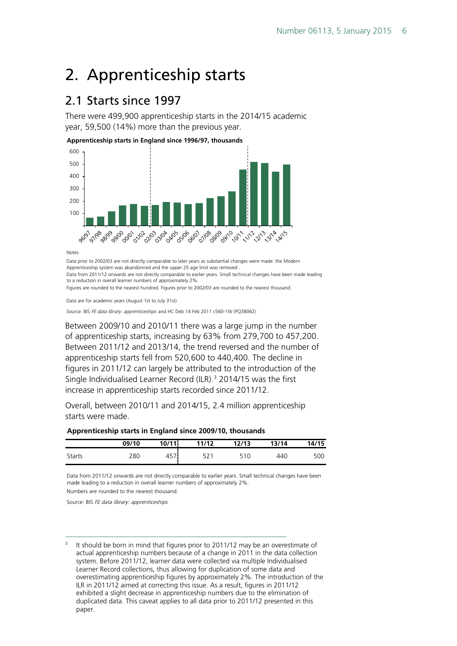## <span id="page-5-0"></span>2. Apprenticeship starts

## <span id="page-5-1"></span>2.1 Starts since 1997

There were 499,900 apprenticeship starts in the 2014/15 academic year, 59,500 (14%) more than the previous year.

**Apprenticeship starts in England since 1996/97, thousands** 600



Notes

Data prior to 2002/03 are not directly comparable to later years as substantial changes were made: the Modern Apprenticeship system was abandonned and the upper 25 age limit was removed Data from 2011/12 onwards are not directly comparable to earlier years. Small technical changes have been made leading to a reduction in overall learner numbers of approximately 2%.

Figures are rounded to the nearest hundred. Figures prior to 2002/03 are rounded to the nearest thousand.

Data are for academic years (August 1st to July 31st)

Source: BIS FE data library: apprenticeships and HC Deb 14 Feb 2011 c560-1W (PQ38062)

Between 2009/10 and 2010/11 there was a large jump in the number of apprenticeship starts, increasing by 63% from 279,700 to 457,200. Between 2011/12 and 2013/14, the trend reversed and the number of apprenticeship starts fell from 520,600 to 440,400. The decline in figures in 2011/12 can largely be attributed to the introduction of the Single Individualised Learner Record (ILR).<sup>[3](#page-5-2)</sup> 2014/15 was the first increase in apprenticeship starts recorded since 2011/12.

Overall, between 2010/11 and 2014/15, 2.4 million apprenticeship starts were made.

#### **Apprenticeship starts in England since 2009/10, thousands**

|        | 09/10 | 10/11        | 11/12 | 12/13 | 13/14 | 14/15 |
|--------|-------|--------------|-------|-------|-------|-------|
| Starts | 280   | $- -$<br>457 |       | 510   | 440   | 500   |

Numbers are rounded to the nearest thousand. Data from 2011/12 onwards are not directly comparable to earlier years. Small technical changes have been made leading to a reduction in overall learner numbers of approximately 2%.

Source: BIS FE data library: apprenticeships

<span id="page-5-2"></span><sup>3</sup> It should be born in mind that figures prior to 2011/12 may be an overestimate of actual apprenticeship numbers because of a change in 2011 in the data collection system. Before 2011/12, learner data were collected via multiple Individualised Learner Record collections, thus allowing for duplication of some data and overestimating apprenticeship figures by approximately 2%. The introduction of the ILR in 2011/12 aimed at correcting this issue. As a result, figures in 2011/12 exhibited a slight decrease in apprenticeship numbers due to the elimination of duplicated data. This caveat applies to all data prior to 2011/12 presented in this paper.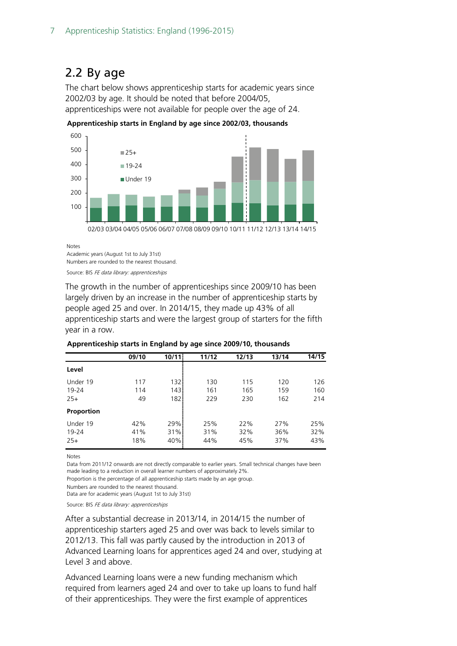## <span id="page-6-0"></span>2.2 By age

The chart below shows apprenticeship starts for academic years since 2002/03 by age. It should be noted that before 2004/05, apprenticeships were not available for people over the age of 24.



**Apprenticeship starts in England by age since 2002/03, thousands**

Notes

Academic years (August 1st to July 31st) Numbers are rounded to the nearest thousand.

Source: BIS FE data library: apprenticeships

The growth in the number of apprenticeships since 2009/10 has been largely driven by an increase in the number of apprenticeship starts by people aged 25 and over. In 2014/15, they made up 43% of all apprenticeship starts and were the largest group of starters for the fifth year in a row.

|                            | 09/10             | 10/11             | 11/12             | 12/13             | 13/14             | 14/15             |
|----------------------------|-------------------|-------------------|-------------------|-------------------|-------------------|-------------------|
| Level                      |                   |                   |                   |                   |                   |                   |
| Under 19<br>19-24          | 117<br>114        | 1321<br>143!      | 130<br>161        | 115<br>165        | 120<br>159        | 126<br>160        |
| $25+$<br>Proportion        | 49                | 1821              | 229               | 230               | 162               | 214               |
| Under 19<br>19-24<br>$25+$ | 42%<br>41%<br>18% | 29%<br>31%<br>40% | 25%<br>31%<br>44% | 22%<br>32%<br>45% | 27%<br>36%<br>37% | 25%<br>32%<br>43% |

#### **Apprenticeship starts in England by age since 2009/10, thousands**

Notes

Data from 2011/12 onwards are not directly comparable to earlier years. Small technical changes have been made leading to a reduction in overall learner numbers of approximately 2%.

Proportion is the percentage of all apprenticeship starts made by an age group.

Numbers are rounded to the nearest thousand.

Data are for academic years (August 1st to July 31st)

Source: BIS FE data library: apprenticeships

After a substantial decrease in 2013/14, in 2014/15 the number of apprenticeship starters aged 25 and over was back to levels similar to 2012/13. This fall was partly caused by the introduction in 2013 of Advanced Learning loans for apprentices aged 24 and over, studying at Level 3 and above.

Advanced Learning loans were a new funding mechanism which required from learners aged 24 and over to take up loans to fund half of their apprenticeships. They were the first example of apprentices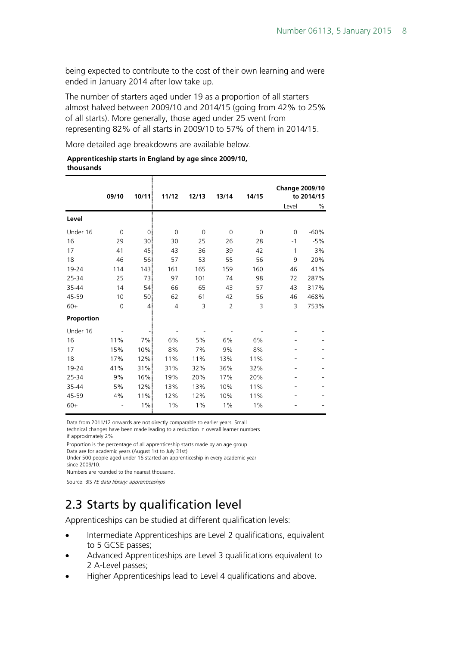being expected to contribute to the cost of their own learning and were ended in January 2014 after low take up.

The number of starters aged under 19 as a proportion of all starters almost halved between 2009/10 and 2014/15 (going from 42% to 25% of all starts). More generally, those aged under 25 went from representing 82% of all starts in 2009/10 to 57% of them in 2014/15.

More detailed age breakdowns are available below.

#### **Apprenticeship starts in England by age since 2009/10, thousands**

|            | 09/10       | 10/11           | 11/12          | 12/13       | 13/14          | 14/15       | <b>Change 2009/10</b> | to 2014/15 |
|------------|-------------|-----------------|----------------|-------------|----------------|-------------|-----------------------|------------|
|            |             |                 |                |             |                |             | Level                 | %          |
| Level      |             |                 |                |             |                |             |                       |            |
| Under 16   | $\mathbf 0$ | 0               | $\mathbf 0$    | $\mathbf 0$ | $\mathbf 0$    | $\mathbf 0$ | $\mathbf 0$           | $-60%$     |
| 16         | 29          | 30              | 30             | 25          | 26             | 28          | $-1$                  | $-5%$      |
| 17         | 41          | 45              | 43             | 36          | 39             | 42          | 1                     | 3%         |
| 18         | 46          | 56              | 57             | 53          | 55             | 56          | 9                     | 20%        |
| 19-24      | 114         | 143             | 161            | 165         | 159            | 160         | 46                    | 41%        |
| 25-34      | 25          | 73              | 97             | 101         | 74             | 98          | 72                    | 287%       |
| 35-44      | 14          | 54 <sup>1</sup> | 66             | 65          | 43             | 57          | 43                    | 317%       |
| 45-59      | 10          | 50              | 62             | 61          | 42             | 56          | 46                    | 468%       |
| $60+$      | $\mathbf 0$ | $\mathbf{4}$    | $\overline{4}$ | 3           | $\overline{2}$ | 3           | 3                     | 753%       |
| Proportion |             |                 |                |             |                |             |                       |            |
| Under 16   |             |                 |                |             |                |             |                       |            |
| 16         | 11%         | 7%              | 6%             | 5%          | 6%             | 6%          |                       |            |
| 17         | 15%         | 10%             | 8%             | 7%          | 9%             | 8%          |                       |            |
| 18         | 17%         | 12%             | 11%            | 11%         | 13%            | 11%         |                       |            |
| 19-24      | 41%         | 31%             | 31%            | 32%         | 36%            | 32%         |                       |            |
| 25-34      | 9%          | 16%             | 19%            | 20%         | 17%            | 20%         |                       |            |
| 35-44      | 5%          | 12%             | 13%            | 13%         | 10%            | 11%         |                       |            |
| 45-59      | 4%          | 11%             | 12%            | 12%         | 10%            | 11%         |                       |            |
| $60+$      |             | $1\%$           | 1%             | 1%          | 1%             | 1%          |                       |            |

Data from 2011/12 onwards are not directly comparable to earlier years. Small

technical changes have been made leading to a reduction in overall learner numbers if approximately 2%.

Proportion is the percentage of all apprenticeship starts made by an age group.

Data are for academic years (August 1st to July 31st)

Under 500 people aged under 16 started an apprenticeship in every academic year since 2009/10.

Numbers are rounded to the nearest thousand.

Source: BIS FE data library: apprenticeships

## <span id="page-7-0"></span>2.3 Starts by qualification level

Apprenticeships can be studied at different qualification levels:

- Intermediate Apprenticeships are Level 2 qualifications, equivalent to 5 GCSE passes;
- Advanced Apprenticeships are Level 3 qualifications equivalent to 2 A-Level passes;
- Higher Apprenticeships lead to Level 4 qualifications and above.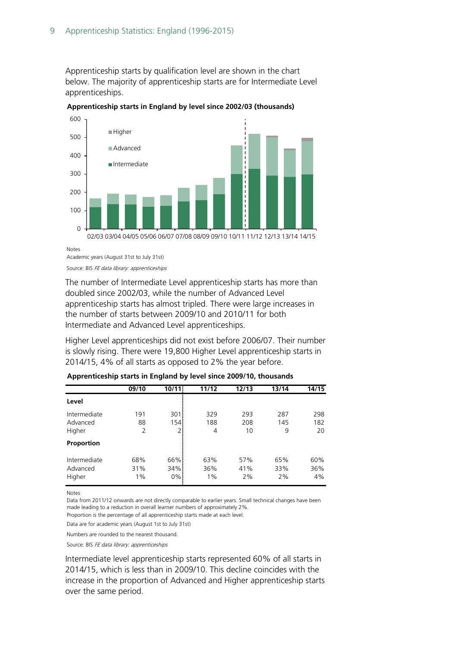Apprenticeship starts by qualification level are shown in the chart below. The majority of apprenticeship starts are for Intermediate Level apprenticeships.



**Apprenticeship starts in England by level since 2002/03 (thousands)**

Notes

The number of Intermediate Level apprenticeship starts has more than doubled since 2002/03, while the number of Advanced Level apprenticeship starts has almost tripled. There were large increases in the number of starts between 2009/10 and 2010/11 for both

Intermediate and Advanced Level apprenticeships.

Higher Level apprenticeships did not exist before 2006/07. Their number is slowly rising. There were 19,800 Higher Level apprenticeship starts in 2014/15, 4% of all starts as opposed to 2% the year before.

|                                    | 09/10            | 10/11               | 11/12               | 12/13            | 13/14            | 14/15            |
|------------------------------------|------------------|---------------------|---------------------|------------------|------------------|------------------|
| Level                              |                  |                     |                     |                  |                  |                  |
| Intermediate<br>Advanced<br>Higher | 191<br>88<br>2   | 301i<br>154<br>2    | 329<br>188<br>4     | 293<br>208<br>10 | 287<br>145<br>9  | 298<br>182<br>20 |
| Proportion                         |                  |                     |                     |                  |                  |                  |
| Intermediate<br>Advanced<br>Higher | 68%<br>31%<br>1% | 66%<br>34%<br>$0\%$ | 63%<br>36%<br>$1\%$ | 57%<br>41%<br>2% | 65%<br>33%<br>2% | 60%<br>36%<br>4% |

**Apprenticeship starts in England by level since 2009/10, thousands**

Notes

Data from 2011/12 onwards are not directly comparable to earlier years. Small technical changes have been made leading to a reduction in overall learner numbers of approximately 2%.

Proportion is the percentage of all apprenticeship starts made at each level.

Data are for academic years (August 1st to July 31st)

Numbers are rounded to the nearest thousand.

Source: BIS FE data library: apprenticeships

Intermediate level apprenticeship starts represented 60% of all starts in 2014/15, which is less than in 2009/10. This decline coincides with the increase in the proportion of Advanced and Higher apprenticeship starts over the same period.

Academic years (August 31st to July 31st) Source: BIS FE data library: apprenticeships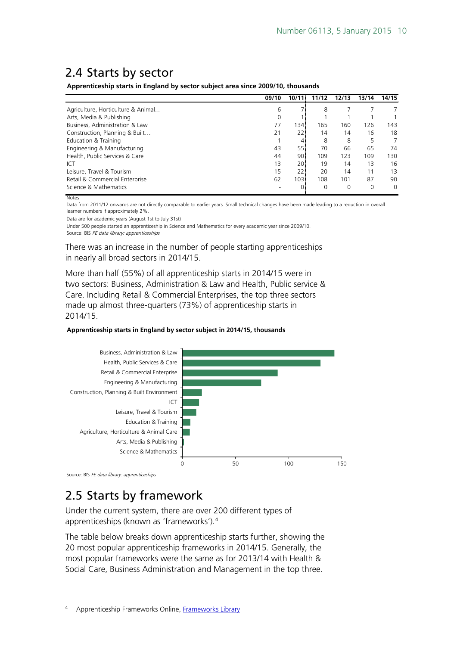## <span id="page-9-0"></span>2.4 Starts by sector

**Apprenticeship starts in England by sector subject area since 2009/10, thousands**

|                                    | 09/10 | 10/11            | 11/12    | 12/13 | 13/14 | 14/15    |
|------------------------------------|-------|------------------|----------|-------|-------|----------|
| Agriculture, Horticulture & Animal | 6     |                  | 8        |       |       |          |
| Arts, Media & Publishing           |       |                  |          |       |       |          |
| Business, Administration & Law     | 77    | 134 <sup>1</sup> | 165      | 160   | 126   | 143      |
| Construction, Planning & Built     | 21    | 22               | 14       | 14    | 16    | 18       |
| Education & Training               |       | 41               | 8        | 8     | 5     |          |
| Engineering & Manufacturing        | 43    | 55               | 70       | 66    | 65    | 74       |
| Health, Public Services & Care     | 44    | 90 <sup>1</sup>  | 109      | 123   | 109   | 130      |
| ICT                                | 13    | 20               | 19       | 14    | 13    | 16       |
| Leisure, Travel & Tourism          | 15    | 221              | 20       | 14    | 11    | 13       |
| Retail & Commercial Enterprise     | 62    | 1031             | 108      | 101   | 87    | 90       |
| Science & Mathematics              |       |                  | $\Omega$ | 0     | 0     | $\Omega$ |
| <b>Notes</b>                       |       |                  |          |       |       |          |

Data from 2011/12 onwards are not directly comparable to earlier years. Small technical changes have been made leading to a reduction in overall learner numbers if approximately 2%.

Data are for academic years (August 1st to July 31st)

Source: BIS FE data library: apprenticeships Under 500 people started an apprenticeship in Science and Mathematics for every academic year since 2009/10.

There was an increase in the number of people starting apprenticeships in nearly all broad sectors in 2014/15.

More than half (55%) of all apprenticeship starts in 2014/15 were in two sectors: Business, Administration & Law and Health, Public service & Care. Including Retail & Commercial Enterprises, the top three sectors made up almost three-quarters (73%) of apprenticeship starts in 2014/15.

#### **Apprenticeship starts in England by sector subject in 2014/15, thousands**



Source: BIS FE data library: apprenticeships

## <span id="page-9-1"></span>2.5 Starts by framework

Under the current system, there are over 200 different types of apprenticeships (known as 'frameworks').[4](#page-9-2)

<span id="page-9-2"></span>The table below breaks down apprenticeship starts further, showing the 20 most popular apprenticeship frameworks in 2014/15. Generally, the most popular frameworks were the same as for 2013/14 with Health & Social Care, Business Administration and Management in the top three.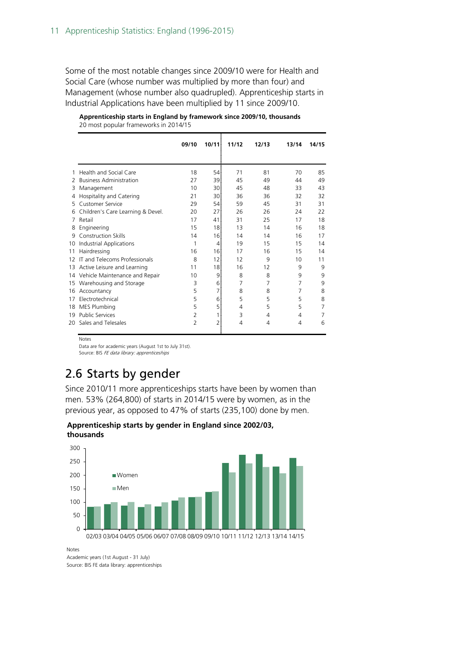Some of the most notable changes since 2009/10 were for Health and Social Care (whose number was multiplied by more than four) and Management (whose number also quadrupled). Apprenticeship starts in Industrial Applications have been multiplied by 11 since 2009/10.

|    |                                   | 09/10          | 10/111          | 11/12 | 12/13 | 13/14 | 14/15 |
|----|-----------------------------------|----------------|-----------------|-------|-------|-------|-------|
|    |                                   |                |                 |       |       |       |       |
|    | Health and Social Care            | 18             | 54              | 71    | 81    | 70    | 85    |
| 2  | <b>Business Administration</b>    | 27             | 39!             | 45    | 49    | 44    | 49    |
| 3  | Management                        | 10             | 30              | 45    | 48    | 33    | 43    |
| 4  | Hospitality and Catering          | 21             | 30              | 36    | 36    | 32    | 32    |
| 5  | Customer Service                  | 29             | 54              | 59    | 45    | 31    | 31    |
| 6  | Children's Care Learning & Devel. | 20             | 27              | 26    | 26    | 24    | 22    |
| 7  | Retail                            | 17             | 41              | 31    | 25    | 17    | 18    |
| 8  | Engineering                       | 15             | 18 <sup>1</sup> | 13    | 14    | 16    | 18    |
| 9  | <b>Construction Skills</b>        | 14             | 16              | 14    | 14    | 16    | 17    |
| 10 | Industrial Applications           | 1              | 4               | 19    | 15    | 15    | 14    |
| 11 | Hairdressing                      | 16             | 16 <sup>1</sup> | 17    | 16    | 15    | 14    |
| 12 | IT and Telecoms Professionals     | 8              | 12 <sup>1</sup> | 12    | 9     | 10    | 11    |
| 13 | Active Leisure and Learning       | 11             | 18              | 16    | 12    | 9     | 9     |
| 14 | Vehicle Maintenance and Repair    | 10             | 9               | 8     | 8     | 9     | 9     |
| 15 | Warehousing and Storage           | 3              | 61              | 7     | 7     | 7     | 9     |
| 16 | Accountancy                       | 5              | 71              | 8     | 8     | 7     | 8     |
| 17 | Electrotechnical                  | 5              | 6               | 5     | 5     | 5     | 8     |
| 18 | <b>MES Plumbing</b>               | 5              | 51              | 4     | 5     | 5     | 7     |
| 19 | <b>Public Services</b>            | $\overline{2}$ |                 | 3     | 4     | 4     | 7     |
| 20 | Sales and Telesales               | 2              | 21              | 4     | 4     | 4     | 6     |

| Apprenticeship starts in England by framework since 2009/10, thousands |  |
|------------------------------------------------------------------------|--|
| 20 most popular frameworks in 2014/15                                  |  |

#### Notes

Data are for academic years (August 1st to July 31st).

Source: BIS FE data library: apprenticeships

## <span id="page-10-0"></span>2.6 Starts by gender

Since 2010/11 more apprenticeships starts have been by women than men. 53% (264,800) of starts in 2014/15 were by women, as in the previous year, as opposed to 47% of starts (235,100) done by men.

**Apprenticeship starts by gender in England since 2002/03, thousands**



Notes

Academic years (1st August - 31 July) Source: BIS FE data library: apprenticeships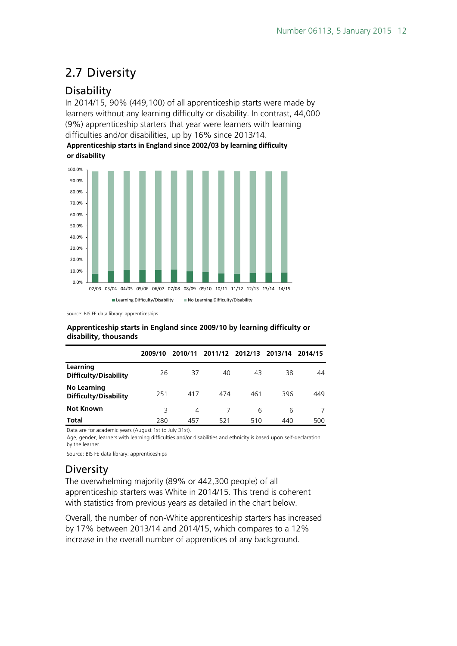## <span id="page-11-0"></span>2.7 Diversity

## <span id="page-11-1"></span>**Disability**

In 2014/15, 90% (449,100) of all apprenticeship starts were made by learners without any learning difficulty or disability. In contrast, 44,000 (9%) apprenticeship starters that year were learners with learning difficulties and/or disabilities, up by 16% since 2013/14.

**Apprenticeship starts in England since 2002/03 by learning difficulty or disability**



Source: BIS FE data library: apprenticeships

#### **Apprenticeship starts in England since 2009/10 by learning difficulty or disability, thousands**

|                                                    | 2009/10 | 2010/11 |     | 2011/12 2012/13 2013/14 |     | 2014/15 |
|----------------------------------------------------|---------|---------|-----|-------------------------|-----|---------|
| Learning<br><b>Difficulty/Disability</b>           | 26      | 37      | 40  | 43                      | 38  | 44      |
| <b>No Learning</b><br><b>Difficulty/Disability</b> | 251     | 417     | 474 | 461                     | 396 | 449     |
| <b>Not Known</b>                                   | 3       | 4       |     | 6                       | 6   |         |
| <b>Total</b>                                       | 280     | 457     | 521 | 510                     | 440 | 500     |

Data are for academic years (August 1st to July 31st).

Age, gender, learners with learning difficulties and/or disabilities and ethnicity is based upon self-declaration by the learner.

Source: BIS FE data library: apprenticeships

## <span id="page-11-2"></span>**Diversity**

The overwhelming majority (89% or 442,300 people) of all apprenticeship starters was White in 2014/15. This trend is coherent with statistics from previous years as detailed in the chart below.

Overall, the number of non-White apprenticeship starters has increased by 17% between 2013/14 and 2014/15, which compares to a 12% increase in the overall number of apprentices of any background.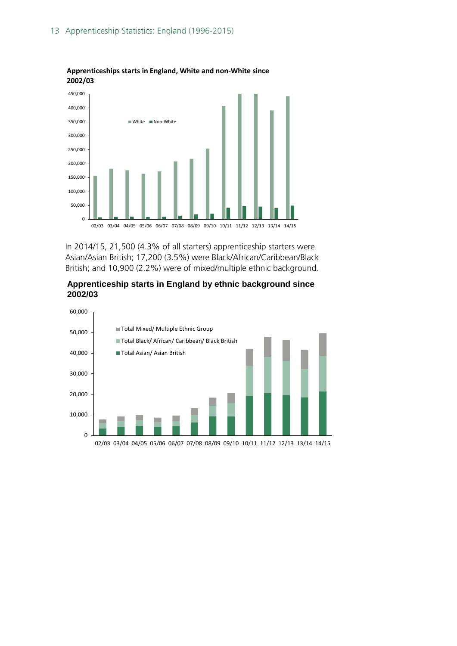

**Apprenticeships starts in England, White and non-White since 2002/03**

In 2014/15, 21,500 (4.3% of all starters) apprenticeship starters were Asian/Asian British; 17,200 (3.5%) were Black/African/Caribbean/Black British; and 10,900 (2.2%) were of mixed/multiple ethnic background.



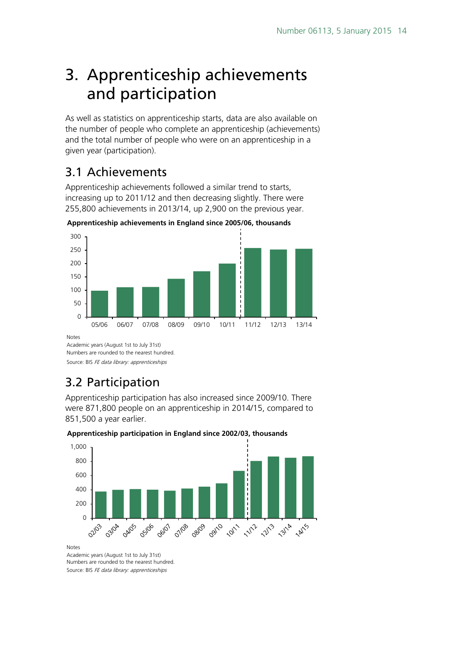## <span id="page-13-0"></span>3. Apprenticeship achievements and participation

As well as statistics on apprenticeship starts, data are also available on the number of people who complete an apprenticeship (achievements) and the total number of people who were on an apprenticeship in a given year (participation).

## <span id="page-13-1"></span>3.1 Achievements

Apprenticeship achievements followed a similar trend to starts, increasing up to 2011/12 and then decreasing slightly. There were 255,800 achievements in 2013/14, up 2,900 on the previous year.



**Apprenticeship achievements in England since 2005/06, thousands**

**Notes** 

Academic years (August 1st to July 31st) Numbers are rounded to the nearest hundred.

Source: BIS FE data library: apprenticeships

## <span id="page-13-2"></span>3.2 Participation

Apprenticeship participation has also increased since 2009/10. There were 871,800 people on an apprenticeship in 2014/15, compared to 851,500 a year earlier.

#### **Apprenticeship participation in England since 2002/03, thousands**



Notes

Academic years (August 1st to July 31st) Numbers are rounded to the nearest hundred. Source: BIS FE data library: apprenticeships